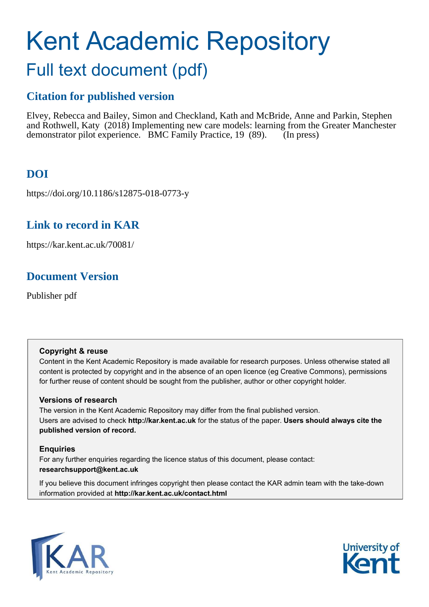# Kent Academic Repository Full text document (pdf)

### **Citation for published version**

Elvey, Rebecca and Bailey, Simon and Checkland, Kath and McBride, Anne and Parkin, Stephen and Rothwell, Katy (2018) Implementing new care models: learning from the Greater Manchester demonstrator pilot experience. BMC Family Practice, 19 (89). (In press)

### **DOI**

https://doi.org/10.1186/s12875-018-0773-y

### **Link to record in KAR**

https://kar.kent.ac.uk/70081/

### **Document Version**

Publisher pdf

#### **Copyright & reuse**

Content in the Kent Academic Repository is made available for research purposes. Unless otherwise stated all content is protected by copyright and in the absence of an open licence (eg Creative Commons), permissions for further reuse of content should be sought from the publisher, author or other copyright holder.

#### **Versions of research**

The version in the Kent Academic Repository may differ from the final published version. Users are advised to check **http://kar.kent.ac.uk** for the status of the paper. **Users should always cite the published version of record.**

#### **Enquiries**

For any further enquiries regarding the licence status of this document, please contact: **researchsupport@kent.ac.uk**

If you believe this document infringes copyright then please contact the KAR admin team with the take-down information provided at **http://kar.kent.ac.uk/contact.html**



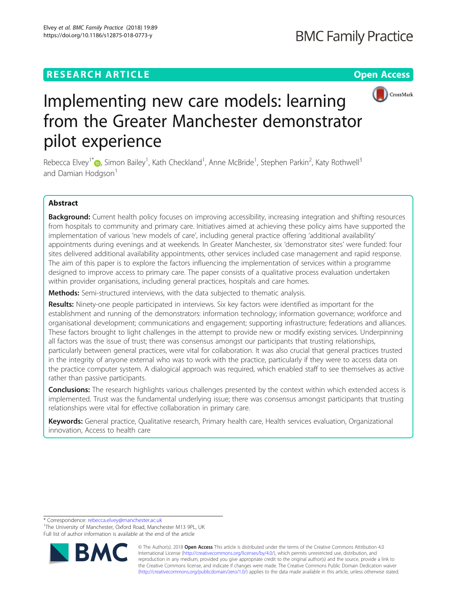### **RESEARCH ARTICLE EXECUTE: Open Access**



## Implementing new care models: learning from the Greater Manchester demonstrator pilot experience

Rebecca Elvey<sup>1\*</sup> (@, Simon Bailey<sup>1</sup>, Kath Checkland<sup>1</sup>, Anne McBride<sup>1</sup>, Stephen Parkin<sup>2</sup>, Katy Rothwell<sup>3</sup> and Damian Hodgson<sup>1</sup>

#### Abstract

Background: Current health policy focuses on improving accessibility, increasing integration and shifting resources from hospitals to community and primary care. Initiatives aimed at achieving these policy aims have supported the implementation of various 'new models of care', including general practice offering 'additional availability' appointments during evenings and at weekends. In Greater Manchester, six 'demonstrator sites' were funded: four sites delivered additional availability appointments, other services included case management and rapid response. The aim of this paper is to explore the factors influencing the implementation of services within a programme designed to improve access to primary care. The paper consists of a qualitative process evaluation undertaken within provider organisations, including general practices, hospitals and care homes.

Methods: Semi-structured interviews, with the data subjected to thematic analysis.

Results: Ninety-one people participated in interviews. Six key factors were identified as important for the establishment and running of the demonstrators: information technology; information governance; workforce and organisational development; communications and engagement; supporting infrastructure; federations and alliances. These factors brought to light challenges in the attempt to provide new or modify existing services. Underpinning all factors was the issue of trust; there was consensus amongst our participants that trusting relationships, particularly between general practices, were vital for collaboration. It was also crucial that general practices trusted in the integrity of anyone external who was to work with the practice, particularly if they were to access data on the practice computer system. A dialogical approach was required, which enabled staff to see themselves as active rather than passive participants.

**Conclusions:** The research highlights various challenges presented by the context within which extended access is implemented. Trust was the fundamental underlying issue; there was consensus amongst participants that trusting relationships were vital for effective collaboration in primary care.

Keywords: General practice, Qualitative research, Primary health care, Health services evaluation, Organizational innovation, Access to health care

\* Correspondence: [rebecca.elvey@manchester.ac.uk](mailto:rebecca.elvey@manchester.ac.uk)

<sup>1</sup>The University of Manchester, Oxford Road, Manchester M13 9PL, UK Full list of author information is available at the end of the article



© The Author(s). 2018 **Open Access** This article is distributed under the terms of the Creative Commons Attribution 4.0 International License [\(http://creativecommons.org/licenses/by/4.0/](http://creativecommons.org/licenses/by/4.0/)), which permits unrestricted use, distribution, and reproduction in any medium, provided you give appropriate credit to the original author(s) and the source, provide a link to the Creative Commons license, and indicate if changes were made. The Creative Commons Public Domain Dedication waiver [\(http://creativecommons.org/publicdomain/zero/1.0/](http://creativecommons.org/publicdomain/zero/1.0/)) applies to the data made available in this article, unless otherwise stated.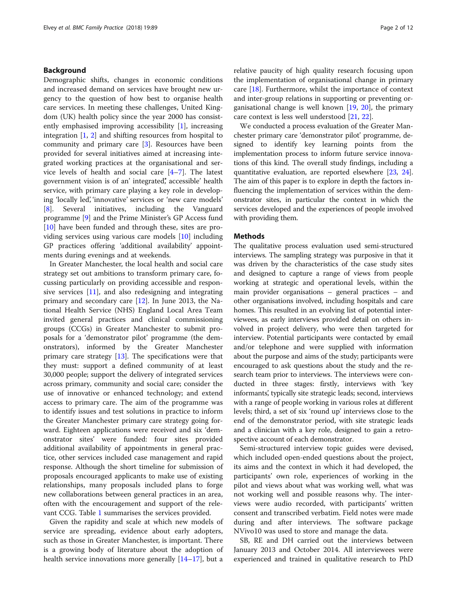#### Background

Demographic shifts, changes in economic conditions and increased demand on services have brought new urgency to the question of how best to organise health care services. In meeting these challenges, United Kingdom (UK) health policy since the year 2000 has consistently emphasised improving accessibility [[1](#page-10-0)], increasing integration  $\left[1, 2\right]$  $\left[1, 2\right]$  $\left[1, 2\right]$  $\left[1, 2\right]$  $\left[1, 2\right]$  and shifting resources from hospital to community and primary care [\[3](#page-11-0)]. Resources have been provided for several initiatives aimed at increasing integrated working practices at the organisational and service levels of health and social care [[4](#page-11-0)–[7](#page-11-0)]. The latest government vision is of an' integrated, accessible' health service, with primary care playing a key role in developing 'locally led', 'innovative' services or 'new care models' [[8\]](#page-11-0). Several initiatives, including the Vanguard programme [\[9](#page-11-0)] and the Prime Minister's GP Access fund [[10\]](#page-11-0) have been funded and through these, sites are providing services using various care models [[10\]](#page-11-0) including GP practices offering 'additional availability' appointments during evenings and at weekends.

In Greater Manchester, the local health and social care strategy set out ambitions to transform primary care, focussing particularly on providing accessible and responsive services [[11\]](#page-11-0), and also redesigning and integrating primary and secondary care [[12\]](#page-11-0). In June 2013, the National Health Service (NHS) England Local Area Team invited general practices and clinical commissioning groups (CCGs) in Greater Manchester to submit proposals for a 'demonstrator pilot' programme (the demonstrators), informed by the Greater Manchester primary care strategy [[13\]](#page-11-0). The specifications were that they must: support a defined community of at least 30,000 people; support the delivery of integrated services across primary, community and social care; consider the use of innovative or enhanced technology; and extend access to primary care. The aim of the programme was to identify issues and test solutions in practice to inform the Greater Manchester primary care strategy going forward. Eighteen applications were received and six 'demonstrator sites' were funded: four sites provided additional availability of appointments in general practice, other services included case management and rapid response. Although the short timeline for submission of proposals encouraged applicants to make use of existing relationships, many proposals included plans to forge new collaborations between general practices in an area, often with the encouragement and support of the relevant CCG. Table 1 summarises the services provided.

Given the rapidity and scale at which new models of service are spreading, evidence about early adopters, such as those in Greater Manchester, is important. There is a growing body of literature about the adoption of health service innovations more generally [[14](#page-11-0)–[17\]](#page-11-0), but a relative paucity of high quality research focusing upon the implementation of organisational change in primary care [[18\]](#page-11-0). Furthermore, whilst the importance of context and inter-group relations in supporting or preventing organisational change is well known  $[19, 20]$  $[19, 20]$  $[19, 20]$  $[19, 20]$  $[19, 20]$ , the primary care context is less well understood [[21](#page-11-0), [22](#page-11-0)].

We conducted a process evaluation of the Greater Manchester primary care 'demonstrator pilot' programme, designed to identify key learning points from the implementation process to inform future service innovations of this kind. The overall study findings, including a quantitative evaluation, are reported elsewhere [\[23,](#page-11-0) [24](#page-11-0)]. The aim of this paper is to explore in depth the factors influencing the implementation of services within the demonstrator sites, in particular the context in which the services developed and the experiences of people involved with providing them.

#### Methods

The qualitative process evaluation used semi-structured interviews. The sampling strategy was purposive in that it was driven by the characteristics of the case study sites and designed to capture a range of views from people working at strategic and operational levels, within the main provider organisations – general practices – and other organisations involved, including hospitals and care homes. This resulted in an evolving list of potential interviewees, as early interviews provided detail on others involved in project delivery, who were then targeted for interview. Potential participants were contacted by email and/or telephone and were supplied with information about the purpose and aims of the study; participants were encouraged to ask questions about the study and the research team prior to interviews. The interviews were conducted in three stages: firstly, interviews with 'key informants', typically site strategic leads; second, interviews with a range of people working in various roles at different levels; third, a set of six 'round up' interviews close to the end of the demonstrator period, with site strategic leads and a clinician with a key role, designed to gain a retrospective account of each demonstrator.

Semi-structured interview topic guides were devised, which included open-ended questions about the project, its aims and the context in which it had developed, the participants' own role, experiences of working in the pilot and views about what was working well, what was not working well and possible reasons why. The interviews were audio recorded, with participants' written consent and transcribed verbatim. Field notes were made during and after interviews. The software package NVivo10 was used to store and manage the data.

SB, RE and DH carried out the interviews between January 2013 and October 2014. All interviewees were experienced and trained in qualitative research to PhD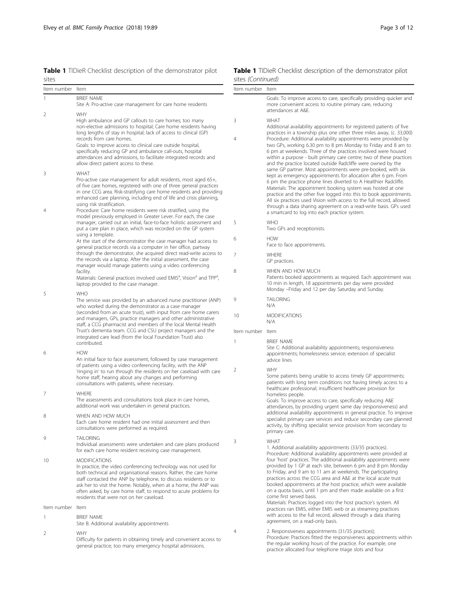Table 1 TIDieR Checklist description of the demonstrator pilot sites

| sites          |                                                                                                                                                                                                                                                                                                                                                                                                                                                                                                                                                                                                                                                                                                                                            | sites (Continued)                |                                                                                                                                                                                                                                                                                                                                                                                                                                                                                                                                       |  |  |
|----------------|--------------------------------------------------------------------------------------------------------------------------------------------------------------------------------------------------------------------------------------------------------------------------------------------------------------------------------------------------------------------------------------------------------------------------------------------------------------------------------------------------------------------------------------------------------------------------------------------------------------------------------------------------------------------------------------------------------------------------------------------|----------------------------------|---------------------------------------------------------------------------------------------------------------------------------------------------------------------------------------------------------------------------------------------------------------------------------------------------------------------------------------------------------------------------------------------------------------------------------------------------------------------------------------------------------------------------------------|--|--|
| ltem number    | Item                                                                                                                                                                                                                                                                                                                                                                                                                                                                                                                                                                                                                                                                                                                                       | Item number                      | ltem                                                                                                                                                                                                                                                                                                                                                                                                                                                                                                                                  |  |  |
| 1              | <b>BRIFF NAME</b><br>Site A: Pro-active case management for care home residents                                                                                                                                                                                                                                                                                                                                                                                                                                                                                                                                                                                                                                                            |                                  | Goals: To improve access to care, specifically providing quicker and<br>more convenient access to routine primary care, reducing<br>attendances at A&E.                                                                                                                                                                                                                                                                                                                                                                               |  |  |
| 2              | WHY<br>High ambulance and GP callouts to care homes; too many<br>non-elective admissions to hospital; Care home residents having<br>long lengths of stay in hospital; lack of access to clinical (GP)<br>records from care homes.<br>Goals: to improve access to clinical care outside hospital,<br>specifically reducing GP and ambulance call-outs, hospital<br>attendances and admissions, to facilitate integrated records and<br>allow direct patient access to these.                                                                                                                                                                                                                                                                | 3<br>4                           | WHAT<br>Additional availability appointments for registered patients of five<br>practices in a township plus one other three miles away, (c. 33,000)<br>Procedure: Additional availability appointments were provided by<br>two GPs, working 6.30 pm to 8 pm Monday to Friday and 8 am to<br>6 pm at weekends. Three of the practices involved were housed<br>within a purpose - built primary care centre; two of these practices<br>and the practice located outside Radcliffe were owned by the                                    |  |  |
| 3<br>4         | WHAT<br>Pro-active case management for adult residents, most aged 65+,<br>of five care homes, registered with one of three general practices<br>in one CCG area. Risk-stratifying care home residents and providing<br>enhanced care planning, including end of life and crisis planning,<br>using risk stratification.<br>Procedure: Care home residents were risk stratified, using the                                                                                                                                                                                                                                                                                                                                                  |                                  | same GP partner. Most appointments were pre-booked, with six<br>kept as emergency appointments for allocation after 6 pm. From<br>6 pm the practice phone lines diverted to A Healthier Radcliffe.<br>Materials: The appointment booking system was hosted at one<br>practice and the other five logged into this to book appointments.<br>All six practices used Vision with access to the full record, allowed<br>through a data sharing agreement on a read-write basis. GPs used<br>a smartcard to log into each practice system. |  |  |
|                | model previously employed in Greater Lever. For each, the case<br>manager, carried out an initial, face-to-face holistic assessment and<br>put a care plan in place, which was recorded on the GP system<br>using a template.<br>At the start of the demonstrator the case manager had access to<br>general practice records via a computer in her office, partway<br>through the demonstrator, she acquired direct read-write access to<br>the records via a laptop. After the initial assessment, the case<br>manager would manage patients using a video conferencing<br>facility.<br>Materials: General practices involved used EMIS <sup>a</sup> , Vision <sup>a</sup> and TPP <sup>a</sup> ,<br>laptop provided to the case manager. | 5                                | <b>WHO</b><br>Two GPs and receptionists.                                                                                                                                                                                                                                                                                                                                                                                                                                                                                              |  |  |
|                |                                                                                                                                                                                                                                                                                                                                                                                                                                                                                                                                                                                                                                                                                                                                            | 6                                | <b>HOW</b><br>Face to face appointments.                                                                                                                                                                                                                                                                                                                                                                                                                                                                                              |  |  |
|                |                                                                                                                                                                                                                                                                                                                                                                                                                                                                                                                                                                                                                                                                                                                                            | 7                                | WHERE<br>GP practices.                                                                                                                                                                                                                                                                                                                                                                                                                                                                                                                |  |  |
|                |                                                                                                                                                                                                                                                                                                                                                                                                                                                                                                                                                                                                                                                                                                                                            | 8                                | WHEN AND HOW MUCH<br>Patients booked appointments as required. Each appointment was<br>10 min in length, 18 appointments per day were provided<br>Monday - Friday and 12 per day Saturday and Sunday.                                                                                                                                                                                                                                                                                                                                 |  |  |
| 5              | <b>WHO</b><br>The service was provided by an advanced nurse practitioner (ANP)<br>who worked during the demonstrator as a case manager<br>(seconded from an acute trust), with input from care home carers<br>and managers, GPs, practice managers and other administrative<br>staff, a CCG pharmacist and members of the local Mental Health                                                                                                                                                                                                                                                                                                                                                                                              | 9                                | <b>TAILORING</b><br>N/A                                                                                                                                                                                                                                                                                                                                                                                                                                                                                                               |  |  |
|                |                                                                                                                                                                                                                                                                                                                                                                                                                                                                                                                                                                                                                                                                                                                                            | 10                               | <b>MODIFICATIONS</b><br>N/A                                                                                                                                                                                                                                                                                                                                                                                                                                                                                                           |  |  |
|                | Trust's dementia team. CCG and CSU project managers and the<br>integrated care lead (from the local Foundation Trust) also<br>contributed.                                                                                                                                                                                                                                                                                                                                                                                                                                                                                                                                                                                                 | Item number Item<br>$\mathbf{1}$ | <b>BRIEF NAME</b>                                                                                                                                                                                                                                                                                                                                                                                                                                                                                                                     |  |  |
| 6              | <b>HOW</b><br>An initial face to face assessment, followed by case management<br>of patients using a video conferencing facility, with the ANP                                                                                                                                                                                                                                                                                                                                                                                                                                                                                                                                                                                             |                                  | Site C: Additional availability appointments; responsiveness<br>appointments; homelessness service; extension of specialist<br>advice lines                                                                                                                                                                                                                                                                                                                                                                                           |  |  |
|                | 'ringing in' to run through the residents on her caseload with care<br>home staff, hearing about any changes and performing<br>consultations with patients, where necessary.                                                                                                                                                                                                                                                                                                                                                                                                                                                                                                                                                               | 2                                | WHY<br>Some patients being unable to access timely GP appointments;<br>patients with long term conditions not having timely access to a<br>healthcare professional; insufficient healthcare provision for                                                                                                                                                                                                                                                                                                                             |  |  |
| 7              | <b>WHERE</b><br>The assessments and consultations took place in care homes,<br>additional work was undertaken in general practices.                                                                                                                                                                                                                                                                                                                                                                                                                                                                                                                                                                                                        |                                  | homeless people.<br>Goals: To improve access to care, specifically reducing A&E<br>attendances, by providing urgent same day (responsiveness) and                                                                                                                                                                                                                                                                                                                                                                                     |  |  |
| 8              | WHEN AND HOW MUCH<br>Each care home resident had one initial assessment and then<br>consultations were performed as required.                                                                                                                                                                                                                                                                                                                                                                                                                                                                                                                                                                                                              |                                  | additional availability appointments in general practice. To improve<br>specialist primary care services and reduce secondary care planned<br>activity, by shifting specialist service provision from secondary to<br>primary care.                                                                                                                                                                                                                                                                                                   |  |  |
| 9              | <b>TAILORING</b><br>Individual assessments were undertaken and care plans produced<br>for each care home resident receiving case management.                                                                                                                                                                                                                                                                                                                                                                                                                                                                                                                                                                                               | 3                                | WHAT<br>1. Additional availability appointments (33/35 practices).                                                                                                                                                                                                                                                                                                                                                                                                                                                                    |  |  |
| 10             | <b>MODIFICATIONS</b><br>In practice, the video conferencing technology was not used for<br>both technical and organisational reasons. Rather, the care home<br>staff contacted the ANP by telephone, to discuss residents or to<br>ask her to visit the home. Notably, when at a home, the ANP was<br>often asked, by care home staff, to respond to acute problems for<br>residents that were not on her caseload.                                                                                                                                                                                                                                                                                                                        |                                  | Procedure: Additional availability appointments were provided at<br>four 'host' practices. The additional availability appointments were<br>provided by 1 GP at each site, between 6 pm and 8 pm Monday<br>to Friday, and 9 am to 11 am at weekends. The participating<br>practices across the CCG area and A&E at the local acute trust<br>booked appointments at the host practice, which were available<br>on a quota basis, until 1 pm and then made available on a first<br>come first served basis.                             |  |  |
| Item number    | Item<br><b>BRIFF NAME</b>                                                                                                                                                                                                                                                                                                                                                                                                                                                                                                                                                                                                                                                                                                                  |                                  | Materials: Practices logged into the host practice's system. All<br>practices ran EMIS, either EMIS web or as streaming practices<br>with access to the full record, allowed through a data sharing                                                                                                                                                                                                                                                                                                                                   |  |  |
|                | Site B: Additional availability appointments                                                                                                                                                                                                                                                                                                                                                                                                                                                                                                                                                                                                                                                                                               | $\overline{4}$                   | agreement, on a read-only basis.<br>2. Responsiveness appointments (31/35 practices);                                                                                                                                                                                                                                                                                                                                                                                                                                                 |  |  |
| $\overline{2}$ | <b>WHY</b><br>Difficulty for patients in obtaining timely and convenient access to<br>general practice; too many emergency hospital admissions.                                                                                                                                                                                                                                                                                                                                                                                                                                                                                                                                                                                            |                                  | Procedure: Practices fitted the responsiveness appointments within<br>the regular working hours of the practice. For example, one<br>practice allocated four telephone triage slots and four                                                                                                                                                                                                                                                                                                                                          |  |  |

Table 1 TIDieR Checklist description of the demonstrator pilot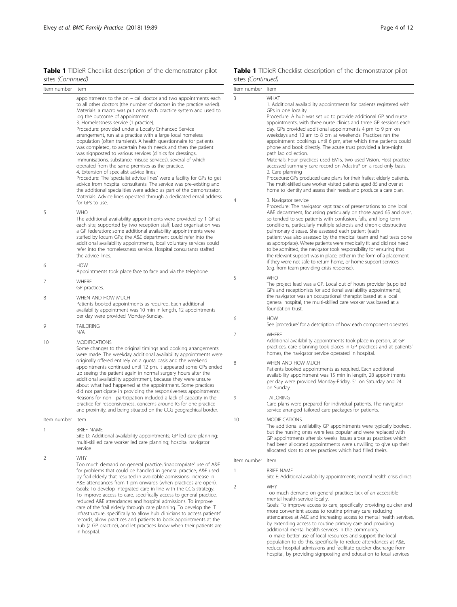Table 1 TIDieR Checklist description of the demonstrator pilot sites (Continued)

| Item number | Item                                                                                                                                                                                                                                                                                                                                                                                                                                                                                                                                                                                                                                                                                                                                                                                                                                                                                                                                                                                                                                                                                             | Item number Item |                                                                                                                                                                                                                                                                                                                                 |
|-------------|--------------------------------------------------------------------------------------------------------------------------------------------------------------------------------------------------------------------------------------------------------------------------------------------------------------------------------------------------------------------------------------------------------------------------------------------------------------------------------------------------------------------------------------------------------------------------------------------------------------------------------------------------------------------------------------------------------------------------------------------------------------------------------------------------------------------------------------------------------------------------------------------------------------------------------------------------------------------------------------------------------------------------------------------------------------------------------------------------|------------------|---------------------------------------------------------------------------------------------------------------------------------------------------------------------------------------------------------------------------------------------------------------------------------------------------------------------------------|
|             | appointments to the on - call doctor and two appointments each<br>to all other doctors (the number of doctors in the practice varied).<br>Materials: a macro was put onto each practice system and used to<br>log the outcome of appointment.<br>3. Homelessness service (1 practice);<br>Procedure: provided under a Locally Enhanced Service<br>arrangement, run at a practice with a large local homeless<br>population (often transient). A health questionnaire for patients<br>was completed, to ascertain health needs and then the patient<br>was signposted to various services (clinics for dressings,<br>immunisations, substance misuse services), several of which<br>operated from the same premises as the practice.<br>4. Extension of specialist advice lines;<br>Procedure: The 'specialist advice lines' were a facility for GPs to get<br>advice from hospital consultants. The service was pre-existing and<br>the additional specialities were added as part of the demonstrator.<br>Materials: Advice lines operated through a dedicated email address<br>for GPs to use. | 3<br>4           | WHAT<br>1. Additional av<br>GPs in one loca<br>Procedure: A hi<br>appointments,<br>day. GPs provic<br>weekdays and<br>appointment b<br>phone and boo<br>path lab collect<br>Materials: Four<br>accessed summ<br>2. Care plannin<br>Procedure: GPs<br>The multi-skilled<br>home to identif<br>3. Navigator ser<br>Procedure: The |
| 5           | <b>WHO</b><br>The additional availability appointments were provided by 1 GP at<br>each site, supported by two reception staff, Lead organisation was<br>a GP federation; some additional availability appointments were<br>staffed by locum GPs; the A&E department could refer into the<br>additional availability appointments, local voluntary services could<br>refer into the homelessness service. Hospital consultants staffed<br>the advice lines.                                                                                                                                                                                                                                                                                                                                                                                                                                                                                                                                                                                                                                      |                  | A&E departmer<br>so tended to se<br>conditions, part<br>pulmonary dise<br>patient was also<br>as appropriate).<br>to be admitted,<br>the relevant sup<br>if they were not                                                                                                                                                       |
| 6           | <b>HOW</b><br>Appointments took place face to face and via the telephone.                                                                                                                                                                                                                                                                                                                                                                                                                                                                                                                                                                                                                                                                                                                                                                                                                                                                                                                                                                                                                        |                  | (e.g. from team                                                                                                                                                                                                                                                                                                                 |
| 7           | WHERE<br>GP practices.                                                                                                                                                                                                                                                                                                                                                                                                                                                                                                                                                                                                                                                                                                                                                                                                                                                                                                                                                                                                                                                                           | 5                | <b>WHO</b><br>The project lea<br>GPs and recept                                                                                                                                                                                                                                                                                 |
| 8           | WHEN AND HOW MUCH<br>Patients booked appointments as required. Each additional<br>availability appointment was 10 min in length, 12 appointments                                                                                                                                                                                                                                                                                                                                                                                                                                                                                                                                                                                                                                                                                                                                                                                                                                                                                                                                                 |                  | the navigator v<br>general hospita<br>foundation trus                                                                                                                                                                                                                                                                           |
| 9           | per day were provided Monday-Sunday.<br><b>TAILORING</b>                                                                                                                                                                                                                                                                                                                                                                                                                                                                                                                                                                                                                                                                                                                                                                                                                                                                                                                                                                                                                                         | 6                | <b>HOW</b><br>See 'procedure'                                                                                                                                                                                                                                                                                                   |
| 10          | N/A<br><b>MODIFICATIONS</b><br>Some changes to the original timings and booking arrangements<br>were made. The weekday additional availability appointments were                                                                                                                                                                                                                                                                                                                                                                                                                                                                                                                                                                                                                                                                                                                                                                                                                                                                                                                                 | 7                | WHERE<br>Additional avail<br>practices, care<br>homes, the nav                                                                                                                                                                                                                                                                  |
|             | originally offered entirely on a quota basis and the weekend<br>appointments continued until 12 pm. It appeared some GPs ended<br>up seeing the patient again in normal surgery hours after the<br>additional availability appointment, because they were unsure<br>about what had happened at the appointment. Some practices<br>did not participate in providing the responsiveness appointments;                                                                                                                                                                                                                                                                                                                                                                                                                                                                                                                                                                                                                                                                                              | 8                | WHEN AND HC<br>Patients booke<br>availability app<br>per day were p<br>on Sunday.                                                                                                                                                                                                                                               |
|             | Reasons for non - participation included a lack of capacity in the<br>practice for responsiveness, concerns around IG for one practice<br>and proximity, and being situated on the CCG geographical border.                                                                                                                                                                                                                                                                                                                                                                                                                                                                                                                                                                                                                                                                                                                                                                                                                                                                                      | 9                | <b>TAILORING</b><br>Care plans were<br>service arrange                                                                                                                                                                                                                                                                          |
| Item number | Item                                                                                                                                                                                                                                                                                                                                                                                                                                                                                                                                                                                                                                                                                                                                                                                                                                                                                                                                                                                                                                                                                             | 10               | <b>MODIFICATION</b>                                                                                                                                                                                                                                                                                                             |
|             | <b>BRIEF NAME</b><br>Site D: Additional availability appointments; GP-led care planning;<br>multi-skilled care worker led care planning; hospital navigator<br>service                                                                                                                                                                                                                                                                                                                                                                                                                                                                                                                                                                                                                                                                                                                                                                                                                                                                                                                           |                  | The additional<br>but the nursing<br>GP appointmer<br>had been alloc<br>allocated slots                                                                                                                                                                                                                                         |
| 2           | <b>WHY</b><br>Too much demand on general practice; 'inappropriate' use of A&E                                                                                                                                                                                                                                                                                                                                                                                                                                                                                                                                                                                                                                                                                                                                                                                                                                                                                                                                                                                                                    | Item number      | Item                                                                                                                                                                                                                                                                                                                            |
|             | for problems that could be handled in general practice; A&E used<br>by frail elderly that resulted in avoidable admissions; increase in<br>A&E attendances from 1 pm onwards (when practices are open).                                                                                                                                                                                                                                                                                                                                                                                                                                                                                                                                                                                                                                                                                                                                                                                                                                                                                          | $\mathbf{1}$     | <b>BRIEF NAME</b><br>Site E: Additiona                                                                                                                                                                                                                                                                                          |
|             | Goals: To develop integrated care in line with the CCG strategy.<br>To improve access to care, specifically access to general practice,<br>reduced A&E attendances and hospital admissions. To improve<br>care of the frail elderly through care planning. To develop the IT<br>infrastructure, specifically to allow hub clinicians to access patients'<br>records, allow practices and patients to book appointments at the                                                                                                                                                                                                                                                                                                                                                                                                                                                                                                                                                                                                                                                                    | 2                | <b>WHY</b><br>Too much dem<br>mental health s<br>Goals: To impro<br>more convenie<br>attendances at                                                                                                                                                                                                                             |

hub (a GP practice), and let practices know when their patients are

in hospital.

#### Table 1 TIDieR Checklist description of the demonstrator pilot sites (Continued)

| Item number    | Item                                                                                                                                                                                                                                                                                                                                                                                                                                                                                                                                                                                                                                                                                                                                                                      |
|----------------|---------------------------------------------------------------------------------------------------------------------------------------------------------------------------------------------------------------------------------------------------------------------------------------------------------------------------------------------------------------------------------------------------------------------------------------------------------------------------------------------------------------------------------------------------------------------------------------------------------------------------------------------------------------------------------------------------------------------------------------------------------------------------|
| 3              | WHAT<br>1. Additional availability appointments for patients registered with<br>GPs in one locality.                                                                                                                                                                                                                                                                                                                                                                                                                                                                                                                                                                                                                                                                      |
|                | Procedure: A hub was set up to provide additional GP and nurse<br>appointments, with three nurse clinics and three GP sessions each<br>day. GPs provided additional appointments 4 pm to 9 pm on<br>weekdays and 10 am to 8 pm at weekends. Practices ran the<br>appointment bookings until 6 pm, after which time patients could<br>phone and book directly. The acute trust provided a late-night<br>path lab collection.<br>Materials: Four practices used EMIS, two used Vision. Host practice<br>accessed summary care record on Adastra* on a read-only basis.                                                                                                                                                                                                      |
|                | 2. Care planning<br>Procedure: GPs produced care plans for their frailest elderly patients.<br>The multi-skilled care worker visited patients aged 85 and over at<br>home to identify and assess their needs and produce a care plan.                                                                                                                                                                                                                                                                                                                                                                                                                                                                                                                                     |
| 4              | 3. Navigator service<br>Procedure: The navigator kept track of presentations to one local<br>A&E department, focussing particularly on those aged 65 and over,<br>so tended to see patients with confusion, falls, and long term<br>conditions, particularly multiple sclerosis and chronic obstructive<br>pulmonary disease. She assessed each patient (each<br>patient was also assessed by the medical team and had tests done<br>as appropriate). Where patients were medically fit and did not need<br>to be admitted, the navigator took responsibility for ensuring that<br>the relevant support was in place, either in the form of a placement,<br>if they were not safe to return home, or home support services<br>(e.g. from team providing crisis response). |
| 5              | <b>WHO</b><br>The project lead was a GP. Local out of hours provider (supplied<br>GPs and receptionists for additional availability appointments);<br>the navigator was an occupational therapist based at a local<br>general hospital, the multi-skilled care worker was based at a<br>foundation trust.                                                                                                                                                                                                                                                                                                                                                                                                                                                                 |
| 6              | <b>HOW</b><br>See 'procedure' for a description of how each component operated.                                                                                                                                                                                                                                                                                                                                                                                                                                                                                                                                                                                                                                                                                           |
| 7              | WHERE<br>Additional availability appointments took place in person, at GP<br>practices, care planning took places in GP practices and at patients'<br>homes, the navigator service operated in hospital.                                                                                                                                                                                                                                                                                                                                                                                                                                                                                                                                                                  |
| 8              | WHEN AND HOW MUCH<br>Patients booked appointments as required. Each additional<br>availability appointment was 15 min in length, 28 appointments<br>per day were provided Monday-Friday, 51 on Saturday and 24<br>on Sunday.                                                                                                                                                                                                                                                                                                                                                                                                                                                                                                                                              |
| 9              | <b>TAILORING</b><br>Care plans were prepared for individual patients. The navigator<br>service arranged tailored care packages for patients.                                                                                                                                                                                                                                                                                                                                                                                                                                                                                                                                                                                                                              |
| 10             | <b>MODIFICATIONS</b><br>The additional availability GP appointments were typically booked,<br>but the nursing ones were less popular and were replaced with<br>GP appointments after six weeks. Issues arose as practices which<br>had been allocated appointments were unwilling to give up their<br>allocated slots to other practices which had filled theirs.                                                                                                                                                                                                                                                                                                                                                                                                         |
| Item number    | Item                                                                                                                                                                                                                                                                                                                                                                                                                                                                                                                                                                                                                                                                                                                                                                      |
| 1              | <b>BRIEF NAME</b><br>Site E: Additional availability appointments; mental health crisis clinics.                                                                                                                                                                                                                                                                                                                                                                                                                                                                                                                                                                                                                                                                          |
| $\overline{2}$ | WHY<br>Too much demand on general practice; lack of an accessible<br>mental health service locally.<br>Goals: To improve access to care, specifically providing quicker and<br>more convenient access to routine primary care, reducing<br>attendances at A&E and increasing access to mental health services,<br>by extending access to routine primary care and providing<br>additional mental health services in the community.<br>To make better use of local resources and support the local<br>population to do this, specifically to reduce attendances at A&E,<br>reduce hospital admissions and facilitate quicker discharge from<br>hospital, by providing signposting and education to local services                                                          |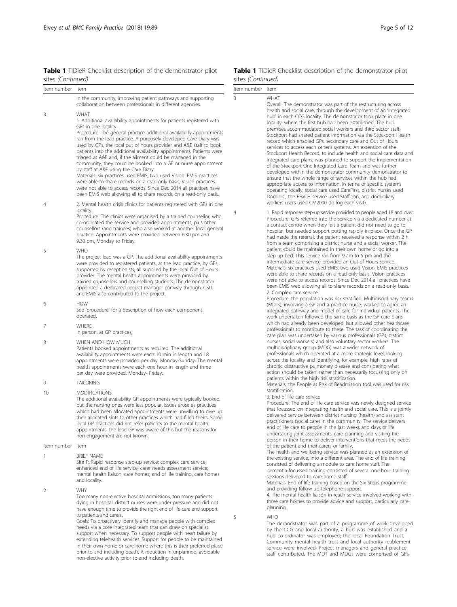#### Table 1 TIDieR Checklist description of the demonstrator pilot sites (Continued)

| Item number | Item                                                                                                                                                                                                                                                                                                                                                                                                                                                                                                                                                                                                                                                                                                                                                                                                                                                            | Item number | Item                                                                                                                                                                                                                                                                                                                                                                                                                                                                                               |
|-------------|-----------------------------------------------------------------------------------------------------------------------------------------------------------------------------------------------------------------------------------------------------------------------------------------------------------------------------------------------------------------------------------------------------------------------------------------------------------------------------------------------------------------------------------------------------------------------------------------------------------------------------------------------------------------------------------------------------------------------------------------------------------------------------------------------------------------------------------------------------------------|-------------|----------------------------------------------------------------------------------------------------------------------------------------------------------------------------------------------------------------------------------------------------------------------------------------------------------------------------------------------------------------------------------------------------------------------------------------------------------------------------------------------------|
|             | in the community, improving patient pathways and supporting<br>collaboration between professionals in different agencies.                                                                                                                                                                                                                                                                                                                                                                                                                                                                                                                                                                                                                                                                                                                                       | 3           | WHAT<br>Overall: The demonstrator wa                                                                                                                                                                                                                                                                                                                                                                                                                                                               |
| 3           | WHAT<br>1. Additional availability appointments for patients registered with<br>GPs in one locality.<br>Procedure: The general practice additional availability appointments<br>ran from the lead practice. A purposely developed Care Diary was<br>used by GPs, the local out of hours provider and A&E staff to book<br>patients into the additional availability appointments. Patients were<br>triaged at A&E and, if the ailment could be managed in the<br>community, they could be booked into a GP or nurse appointment<br>by staff at A&E using the Care Diary.<br>Materials: six practices used EMIS, two used Vision. EMIS practices<br>were able to share records on a read-only basis, Vision practices<br>were not able to access records. Since Dec 2014 all practices have<br>been EMIS web allowing all to share records on a read-only basis. |             | health and social care, throud<br>hub' in each CCG locality. The<br>locality, where the first hub h<br>premises accommodated soc<br>Stockport had shared patient<br>record which enabled GPs, se<br>services to access each other<br>Stockport Health Record, to i<br>integrated care plans, was pla<br>of the Stockport One Integra<br>developed within the demor<br>ensure that the whole range<br>appropriate access to informa<br>operating locally, social care<br>DominiC, the REaCH service |
| 4           | 2. Mental health crisis clinics for patients registered with GPs in one<br>locality.<br>Procedure: The clinics were organised by a trained counsellor, who<br>co-ordinated the service and provided appointments, plus other<br>counsellors (and trainees) who also worked at another local general<br>practice. Appointments were provided between 6.30 pm and<br>9.30 pm, Monday to Friday.                                                                                                                                                                                                                                                                                                                                                                                                                                                                   | 4           | workers users used CM2000 (<br>1. Rapid response step-up servi<br>Procedure: GPs referred into<br>a contact centre when they f<br>hospital, but needed support<br>had made the referral, the pa<br>from a team comprising a dis                                                                                                                                                                                                                                                                    |
| 5           | <b>WHO</b><br>The project lead was a GP. The additional availability appointments<br>were provided to registered patients, at the lead practice, by GPs,<br>supported by receptionists, all supplied by the local Out of Hours<br>provider. The mental health appointments were provided by<br>trained counsellors and counselling students. The demonstrator<br>appointed a dedicated project manager partway through. CSU<br>and EMIS also contributed to the project.                                                                                                                                                                                                                                                                                                                                                                                        |             | patient could be maintained<br>step-up bed. This service ran<br>intermediate care service pro<br>Materials: six practices used E<br>were able to share records of<br>were not able to access reco<br>been EMIS web allowing all t<br>2. Complex care service<br>Procedure: the population wa                                                                                                                                                                                                       |
| 6           | <b>HOW</b><br>See 'procedure' for a description of how each component<br>operated.                                                                                                                                                                                                                                                                                                                                                                                                                                                                                                                                                                                                                                                                                                                                                                              |             | (MDTs), involving a GP and a<br>integrated pathway and mod<br>work undertaken followed th                                                                                                                                                                                                                                                                                                                                                                                                          |
| 7           | WHERE<br>In person, at GP practices,                                                                                                                                                                                                                                                                                                                                                                                                                                                                                                                                                                                                                                                                                                                                                                                                                            |             | which had already been deve<br>professionals to contribute to<br>care plan was undertaken by                                                                                                                                                                                                                                                                                                                                                                                                       |
| 8           | WHEN AND HOW MUCH<br>Patients booked appointments as required. The additional<br>availability appointments were each 10 min in length and 18<br>appointments were provided per day, Monday-Sunday. The mental<br>health appointments were each one hour in length and three<br>per day were provided, Monday- Friday.                                                                                                                                                                                                                                                                                                                                                                                                                                                                                                                                           |             | nurses, social workers) and al<br>multidisciplinary group (MDC<br>professionals which operated<br>across the locality and identit<br>chronic obstructive pulmona<br>action should be taken, rathe                                                                                                                                                                                                                                                                                                  |
| 9           | <b>TAILORING</b>                                                                                                                                                                                                                                                                                                                                                                                                                                                                                                                                                                                                                                                                                                                                                                                                                                                |             | patients within the high risk<br>Materials: the People at Risk of                                                                                                                                                                                                                                                                                                                                                                                                                                  |
| 10          | <b>MODIFICATIONS</b><br>The additional availability GP appointments were typically booked,<br>but the nursing ones were less popular. Issues arose as practices<br>which had been allocated appointments were unwilling to give up<br>their allocated slots to other practices which had filled theirs. Some<br>local GP practices did not refer patients to the mental health<br>appointments, the lead GP was aware of this but the reasons for<br>non-engagement are not known.                                                                                                                                                                                                                                                                                                                                                                              |             | stratification<br>3. End of life care service<br>Procedure: The end of life ca<br>that focussed on integrating<br>delivered service between di<br>practitioners (social care) in t<br>end of life care to people in<br>undertaking joint assessment<br>person in their home to deliv                                                                                                                                                                                                               |
| Item number | Item                                                                                                                                                                                                                                                                                                                                                                                                                                                                                                                                                                                                                                                                                                                                                                                                                                                            |             | of the patient and their carer                                                                                                                                                                                                                                                                                                                                                                                                                                                                     |
| 1           | <b>BRIEF NAME</b><br>Site F: Rapid response step-up service; complex care service;<br>enhanced end of life service; carer needs assessment service;<br>mental health liaison, care homes; end of life training, care homes<br>and locality.                                                                                                                                                                                                                                                                                                                                                                                                                                                                                                                                                                                                                     |             | The health and wellbeing ser<br>the existing service, into a dif<br>consisted of delivering a more<br>dementia-focussed training c<br>sessions delivered to care ho<br>Materials: End of life training                                                                                                                                                                                                                                                                                             |
| 2           | WHY<br>Too many non-elective hospital admissions; too many patients<br>dying in hospital; district nurses were under pressure and did not<br>have enough time to provide the right end of life care and support<br>to patients and carers.                                                                                                                                                                                                                                                                                                                                                                                                                                                                                                                                                                                                                      |             | and providing follow up tele<br>4. The mental health liaison i<br>three care homes to provide<br>planning.<br>MHD                                                                                                                                                                                                                                                                                                                                                                                  |

Goals: To proactively identify and manage people with complex needs via a core integrated team that can draw on specialist support when necessary. To support people with heart failure by extending telehealth services. Support for people to be maintained in their own home or care home where this is their preferred place prior to and including death. A reduction in unplanned, avoidable non-elective activity prior to and including death.

#### Table 1 TIDieR Checklist description of the demonstrator pilot sites (Continued)

#### as part of the restructuring across ah the development of an 'integrated e demonstrator took place in one ad been established. The hub ial workers and third sector staff. information via the Stockport Health econdary care and Out of Hours 's systems. An extension of the nclude health and social care data and anned to support the implementation ted Care Team and was further developed within the demonstrator to of services within the hub had ation. In terms of specific systems used CareFirst, district nurses used used Staffplan, and domiciliary (to log each visit). ice provided to people aged 18 and over. the service via a dedicated number at felt a patient did not need to go to putting rapidly in place. Once the GP tient received a response within 2 h strict nurse and a social worker. The in their own home or go into a from 9 am to 5 pm and the wided an Out of Hours service. **EMIS, two used Vision. EMIS practices** n a read-only basis, Vision practices rds. Since Dec 2014 all practices have to share records on a read-only basis. as risk stratified. Multidisciplinary teams practice nurse, worked to agree an lel of care for individual patients. The e same basis as the GP care plans eloped, but allowed other healthcare

these. The task of coordinating the various professionals (GPs, district so voluntary sector workers. The  $\mathbf{G}$ ) was a wider network of at a more strategic level, looking fying, for example, high rates of ry disease and considering what if than necessarily focussing only on stratification.

of Readmission tool was used for risk

re service was newly designed service health and social care. This is a jointly istrict nursing (health) and assistant practitioners (social care) in the community. The service delivers end of life care to people in the last weeks and days of life ts, care planning and visiting the ver interventions that meet the needs rs or family.

rvice was planned as an extension of the existing service, into a different area. The end of life training consisted of delivering a module to care home staff. The onsisted of several one-hour training

me staff. based on the Six Steps programme phone support.

n-reach service involved working with advice and support, particularly care

5 WHO

The demonstrator was part of a programme of work developed by the CCG and local authority, a hub was established and a hub co-ordinator was employed; the local Foundation Trust, Community mental health trust and local authority reablement service were involved; Project managers and general practice staff contributed. The MDT and MDGs were comprised of GPs,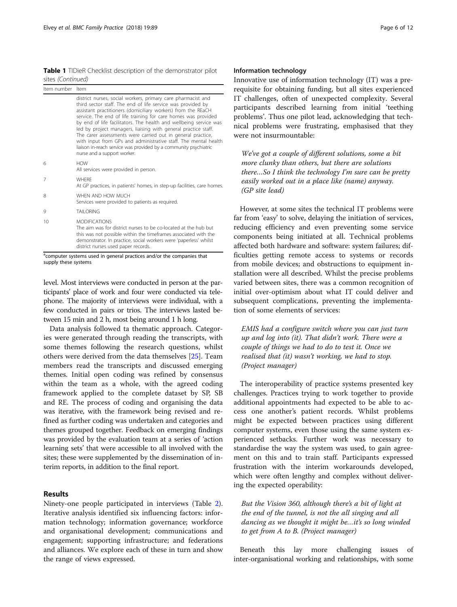Table 1 TIDieR Checklist description of the demonstrator pilot sites (Continued)

| Item number Item |                                                                                                                                                                                                                                                                                                                                                                                                                                                                                                                                                                                                                                          |  |  |  |
|------------------|------------------------------------------------------------------------------------------------------------------------------------------------------------------------------------------------------------------------------------------------------------------------------------------------------------------------------------------------------------------------------------------------------------------------------------------------------------------------------------------------------------------------------------------------------------------------------------------------------------------------------------------|--|--|--|
|                  | district nurses, social workers, primary care pharmacist and<br>third sector staff. The end of life service was provided by<br>assistant practitioners (domiciliary workers) from the REaCH<br>service. The end of life training for care homes was provided<br>by end of life facilitators. The health and wellbeing service was<br>led by project managers, liaising with general practice staff.<br>The carer assessments were carried out in general practice,<br>with input from GPs and administrative staff. The mental health<br>liaison in-reach service was provided by a community psychiatric<br>nurse and a support worker. |  |  |  |
| 6                | <b>HOW</b><br>All services were provided in person.                                                                                                                                                                                                                                                                                                                                                                                                                                                                                                                                                                                      |  |  |  |
| 7                | WHERE<br>At GP practices, in patients' homes, in step-up facilities, care homes.                                                                                                                                                                                                                                                                                                                                                                                                                                                                                                                                                         |  |  |  |
| 8                | WHEN AND HOW MUCH<br>Services were provided to patients as required.                                                                                                                                                                                                                                                                                                                                                                                                                                                                                                                                                                     |  |  |  |
| 9                | <b>TAILORING</b>                                                                                                                                                                                                                                                                                                                                                                                                                                                                                                                                                                                                                         |  |  |  |
| 10               | <b>MODIFICATIONS</b><br>The aim was for district nurses to be co-located at the hub but<br>this was not possible within the timeframes associated with the<br>demonstrator. In practice, social workers were 'paperless' whilst<br>district nurses used paper records.                                                                                                                                                                                                                                                                                                                                                                   |  |  |  |

<sup>a</sup>computer systems used in general practices and/or the companies that supply these systems

level. Most interviews were conducted in person at the participants' place of work and four were conducted via telephone. The majority of interviews were individual, with a few conducted in pairs or trios. The interviews lasted between 15 min and 2 h, most being around 1 h long.

Data analysis followed ta thematic approach. Categories were generated through reading the transcripts, with some themes following the research questions, whilst others were derived from the data themselves [\[25\]](#page-11-0). Team members read the transcripts and discussed emerging themes. Initial open coding was refined by consensus within the team as a whole, with the agreed coding framework applied to the complete dataset by SP, SB and RE. The process of coding and organising the data was iterative, with the framework being revised and refined as further coding was undertaken and categories and themes grouped together. Feedback on emerging findings was provided by the evaluation team at a series of 'action learning sets' that were accessible to all involved with the sites; these were supplemented by the dissemination of interim reports, in addition to the final report.

#### Results

Ninety-one people participated in interviews (Table [2](#page-8-0)). Iterative analysis identified six influencing factors: information technology; information governance; workforce and organisational development; communications and engagement; supporting infrastructure; and federations and alliances. We explore each of these in turn and show the range of views expressed.

#### Information technology

Innovative use of information technology (IT) was a prerequisite for obtaining funding, but all sites experienced IT challenges, often of unexpected complexity. Several participants described learning from initial 'teething problems'. Thus one pilot lead, acknowledging that technical problems were frustrating, emphasised that they were not insurmountable:

*We*'*ve got a couple of different solutions, some a bit more clunky than others, but there are solutions there*…*So I think the technology I*'*m sure can be pretty easily worked out in a place like (name) anyway. (GP site lead)*

However, at some sites the technical IT problems were far from 'easy' to solve, delaying the initiation of services, reducing efficiency and even preventing some service components being initiated at all. Technical problems affected both hardware and software: system failures; difficulties getting remote access to systems or records from mobile devices; and obstructions to equipment installation were all described. Whilst the precise problems varied between sites, there was a common recognition of initial over-optimism about what IT could deliver and subsequent complications, preventing the implementation of some elements of services:

*EMIS had a configure switch where you can just turn up and log into (it). That didn*'*t work. There were a couple of things we had to do to test it. Once we realised that (it) wasn*'*t working, we had to stop. (Project manager)*

The interoperability of practice systems presented key challenges. Practices trying to work together to provide additional appointments had expected to be able to access one another's patient records. Whilst problems might be expected between practices using different computer systems, even those using the same system experienced setbacks. Further work was necessary to standardise the way the system was used, to gain agreement on this and to train staff. Participants expressed frustration with the interim workarounds developed, which were often lengthy and complex without delivering the expected operability:

*But the Vision 360, although there*'*s a bit of light at the end of the tunnel, is not the all singing and all dancing as we thought it might be*…*it*'*s so long winded to get from A to B. (Project manager)*

Beneath this lay more challenging issues of inter-organisational working and relationships, with some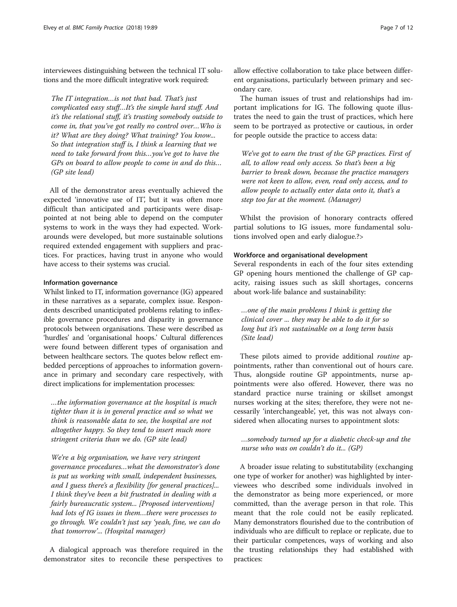interviewees distinguishing between the technical IT solutions and the more difficult integrative work required:

*The IT integration*…*is not that bad. That*'*s just complicated easy stuff*…*It*'*s the simple hard stuff. And it*'*s the relational stuff, it*'*s trusting somebody outside to come in, that you*'*ve got really no control over*…*Who is it? What are they doing? What training? You know... So that integration stuff is, I think a learning that we need to take forward from this*…*you*'*ve got to have the GPs on board to allow people to come in and do this*… *(GP site lead)*

All of the demonstrator areas eventually achieved the expected 'innovative use of IT', but it was often more difficult than anticipated and participants were disappointed at not being able to depend on the computer systems to work in the ways they had expected. Workarounds were developed, but more sustainable solutions required extended engagement with suppliers and practices. For practices, having trust in anyone who would have access to their systems was crucial.

#### Information governance

Whilst linked to IT, information governance (IG) appeared in these narratives as a separate, complex issue. Respondents described unanticipated problems relating to inflexible governance procedures and disparity in governance protocols between organisations. These were described as 'hurdles' and 'organisational hoops.' Cultural differences were found between different types of organisation and between healthcare sectors. The quotes below reflect embedded perceptions of approaches to information governance in primary and secondary care respectively, with direct implications for implementation processes:

…*the information governance at the hospital is much tighter than it is in general practice and so what we think is reasonable data to see, the hospital are not altogether happy. So they tend to insert much more stringent criteria than we do. (GP site lead)*

*We*'*re a big organisation, we have very stringent governance procedures*…*what the demonstrator*'*s done is put us working with small, independent businesses, and I guess there*'*s a flexibility [for general practices]... I think they*'*ve been a bit frustrated in dealing with a fairly bureaucratic system... [Proposed interventions] had lots of IG issues in them*…*there were processes to go through. We couldn*'*t just say* '*yeah, fine, we can do that tomorrow*'*... (Hospital manager)*

A dialogical approach was therefore required in the demonstrator sites to reconcile these perspectives to allow effective collaboration to take place between different organisations, particularly between primary and secondary care.

The human issues of trust and relationships had important implications for IG. The following quote illustrates the need to gain the trust of practices, which here seem to be portrayed as protective or cautious, in order for people outside the practice to access data:

*We*'*ve got to earn the trust of the GP practices. First of all, to allow read only access. So that*'*s been a big barrier to break down, because the practice managers were not keen to allow, even, read only access, and to allow people to actually enter data onto it, that*'*s a step too far at the moment. (Manager)*

Whilst the provision of honorary contracts offered partial solutions to IG issues, more fundamental solutions involved open and early dialogue.?>

#### Workforce and organisational development

Several respondents in each of the four sites extending GP opening hours mentioned the challenge of GP capacity, raising issues such as skill shortages, concerns about work-life balance and sustainability:

…*one of the main problems I think is getting the clinical cover ... they may be able to do it for so long but it*'*s not sustainable on a long term basis (Site lead)*

These pilots aimed to provide additional *routine* appointments, rather than conventional out of hours care. Thus, alongside routine GP appointments, nurse appointments were also offered. However, there was no standard practice nurse training or skillset amongst nurses working at the sites; therefore, they were not necessarily 'interchangeable', yet, this was not always considered when allocating nurses to appointment slots:

…*somebody turned up for a diabetic check-up and the nurse who was on couldn*'*t do it... (GP)*

A broader issue relating to substitutability (exchanging one type of worker for another) was highlighted by interviewees who described some individuals involved in the demonstrator as being more experienced, or more committed, than the average person in that role. This meant that the role could not be easily replicated. Many demonstrators flourished due to the contribution of individuals who are difficult to replace or replicate, due to their particular competences, ways of working and also the trusting relationships they had established with practices: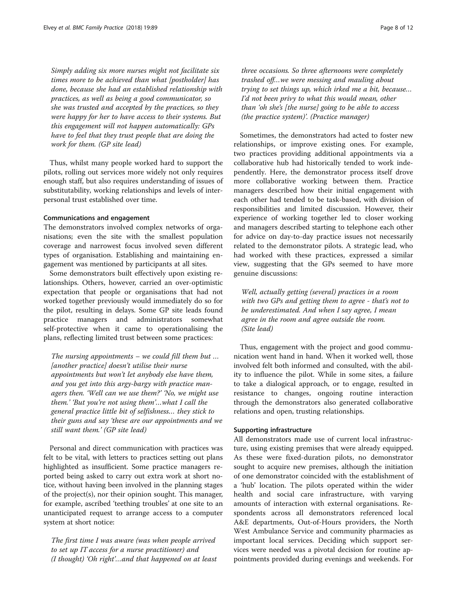<span id="page-8-0"></span>*Simply adding six more nurses might not facilitate six times more to be achieved than what [postholder] has done, because she had an established relationship with practices, as well as being a good communicator, so she was trusted and accepted by the practices, so they were happy for her to have access to their systems. But this engagement will not happen automatically: GPs have to feel that they trust people that are doing the work for them. (GP site lead)*

Thus, whilst many people worked hard to support the pilots, rolling out services more widely not only requires enough staff, but also requires understanding of issues of substitutability, working relationships and levels of interpersonal trust established over time.

#### Communications and engagement

The demonstrators involved complex networks of organisations; even the site with the smallest population coverage and narrowest focus involved seven different types of organisation. Establishing and maintaining engagement was mentioned by participants at all sites.

Some demonstrators built effectively upon existing relationships. Others, however, carried an over-optimistic expectation that people or organisations that had not worked together previously would immediately do so for the pilot, resulting in delays. Some GP site leads found practice managers and administrators somewhat self-protective when it came to operationalising the plans, reflecting limited trust between some practices:

*The nursing appointments* – *we could fill them but* … *[another practice] doesn*'*t utilise their nurse appointments but won*'*t let anybody else have them, and you get into this argy-bargy with practice managers then.* '*Well can we use them?*' '*No, we might use them.*' '*But you*'*re not using them*'…*what I call the general practice little bit of selfishness*… *they stick to their guns and say* '*these are our appointments and we still want them.*' *(GP site lead)*

Personal and direct communication with practices was felt to be vital, with letters to practices setting out plans highlighted as insufficient. Some practice managers reported being asked to carry out extra work at short notice, without having been involved in the planning stages of the project(s), nor their opinion sought. This manager, for example, ascribed 'teething troubles' at one site to an unanticipated request to arrange access to a computer system at short notice:

*The first time I was aware (was when people arrived to set up IT access for a nurse practitioner) and (I thought)* '*Oh right*'…*and that happened on at least* *three occasions. So three afternoons were completely trashed off*…*we were messing and mauling about trying to set things up, which irked me a bit, because*… *I*'*d not been privy to what this would mean, other than* '*oh she*'*s [the nurse] going to be able to access (the practice system)*'*. (Practice manager)*

Sometimes, the demonstrators had acted to foster new relationships, or improve existing ones. For example, two practices providing additional appointments via a collaborative hub had historically tended to work independently. Here, the demonstrator process itself drove more collaborative working between them. Practice managers described how their initial engagement with each other had tended to be task-based, with division of responsibilities and limited discussion. However, their experience of working together led to closer working and managers described starting to telephone each other for advice on day-to-day practice issues not necessarily related to the demonstrator pilots. A strategic lead, who had worked with these practices, expressed a similar view, suggesting that the GPs seemed to have more genuine discussions:

*Well, actually getting (several) practices in a room with two GPs and getting them to agree - that*'*s not to be underestimated. And when I say agree, I mean agree in the room and agree outside the room. (Site lead)*

Thus, engagement with the project and good communication went hand in hand. When it worked well, those involved felt both informed and consulted, with the ability to influence the pilot. While in some sites, a failure to take a dialogical approach, or to engage, resulted in resistance to changes, ongoing routine interaction through the demonstrators also generated collaborative relations and open, trusting relationships.

#### Supporting infrastructure

All demonstrators made use of current local infrastructure, using existing premises that were already equipped. As these were fixed-duration pilots, no demonstrator sought to acquire new premises, although the initiation of one demonstrator coincided with the establishment of a 'hub' location. The pilots operated within the wider health and social care infrastructure, with varying amounts of interaction with external organisations. Respondents across all demonstrators referenced local A&E departments, Out-of-Hours providers, the North West Ambulance Service and community pharmacies as important local services. Deciding which support services were needed was a pivotal decision for routine appointments provided during evenings and weekends. For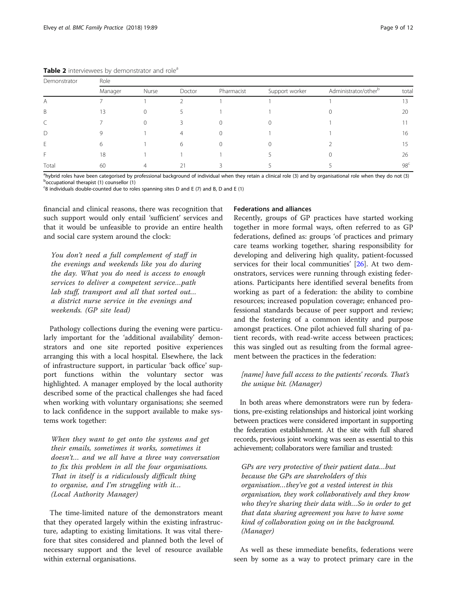| Demonstrator | Role    |                |        |            |                |                                  |                 |
|--------------|---------|----------------|--------|------------|----------------|----------------------------------|-----------------|
|              | Manager | Nurse          | Doctor | Pharmacist | Support worker | Administrator/other <sup>b</sup> | tota            |
| $\forall$    |         |                |        |            |                |                                  | 13              |
| <sup>B</sup> | 13      |                |        |            |                |                                  | 20              |
|              |         |                |        |            |                |                                  |                 |
| D            |         |                |        |            |                |                                  | 16              |
|              |         |                |        |            |                |                                  | 15              |
|              | 18      |                |        |            |                |                                  | 26              |
| Total        | 60      | $\overline{A}$ | 21     |            |                |                                  | 98 <sup>c</sup> |

Table 2 interviewees by demonstrator and role<sup>a</sup>

<sup>a</sup>hybrid roles have been categorised by professional background of individual when they retain a clinical role (3) and by organisational role when they do not (3) **b** occupational therapist (1) counsellor (1)

<sup>c</sup>8 individuals double-counted due to roles spanning sites D and E (7) and B, D and E (1)

financial and clinical reasons, there was recognition that such support would only entail 'sufficient' services and that it would be unfeasible to provide an entire health and social care system around the clock:

*You don*'*t need a full complement of staff in the evenings and weekends like you do during the day. What you do need is access to enough services to deliver a competent service*…*path lab stuff, transport and all that sorted out*… *a district nurse service in the evenings and weekends. (GP site lead)*

Pathology collections during the evening were particularly important for the 'additional availability' demonstrators and one site reported positive experiences arranging this with a local hospital. Elsewhere, the lack of infrastructure support, in particular 'back office' support functions within the voluntary sector was highlighted. A manager employed by the local authority described some of the practical challenges she had faced when working with voluntary organisations; she seemed to lack confidence in the support available to make systems work together:

*When they want to get onto the systems and get their emails, sometimes it works, sometimes it doesn*'*t*… *and we all have a three way conversation to fix this problem in all the four organisations. That in itself is a ridiculously difficult thing to organise, and I*'*m struggling with it*… *(Local Authority Manager)*

The time-limited nature of the demonstrators meant that they operated largely within the existing infrastructure, adapting to existing limitations. It was vital therefore that sites considered and planned both the level of necessary support and the level of resource available within external organisations.

#### Federations and alliances

Recently, groups of GP practices have started working together in more formal ways, often referred to as GP federations, defined as: groups 'of practices and primary care teams working together, sharing responsibility for developing and delivering high quality, patient-focussed services for their local communities' [[26\]](#page-11-0). At two demonstrators, services were running through existing federations. Participants here identified several benefits from working as part of a federation: the ability to combine resources; increased population coverage; enhanced professional standards because of peer support and review; and the fostering of a common identity and purpose amongst practices. One pilot achieved full sharing of patient records, with read-write access between practices; this was singled out as resulting from the formal agreement between the practices in the federation:

#### *[name] have full access to the patients*' *records. That*'*s the unique bit. (Manager)*

In both areas where demonstrators were run by federations, pre-existing relationships and historical joint working between practices were considered important in supporting the federation establishment. At the site with full shared records, previous joint working was seen as essential to this achievement; collaborators were familiar and trusted:

*GPs are very protective of their patient data*…*but because the GPs are shareholders of this organisation*…*they*'*ve got a vested interest in this organisation, they work collaboratively and they know who they*'*re sharing their data with*…*So in order to get that data sharing agreement you have to have some kind of collaboration going on in the background. (Manager)*

As well as these immediate benefits, federations were seen by some as a way to protect primary care in the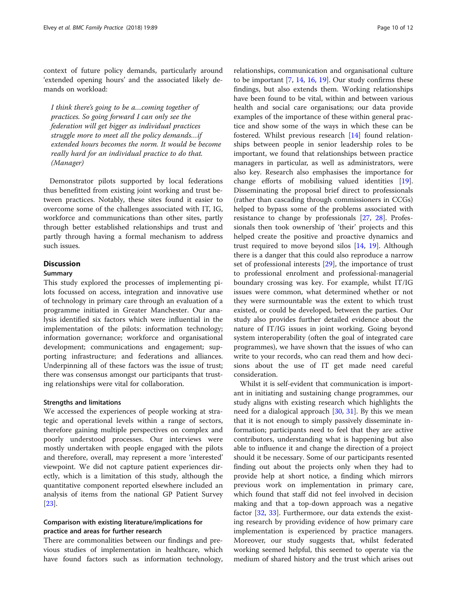<span id="page-10-0"></span>context of future policy demands, particularly around 'extended opening hours' and the associated likely demands on workload:

*I think there*'*s going to be a*…*coming together of practices. So going forward I can only see the federation will get bigger as individual practices struggle more to meet all the policy demands*…*if extended hours becomes the norm. It would be become really hard for an individual practice to do that. (Manager)*

Demonstrator pilots supported by local federations thus benefitted from existing joint working and trust between practices. Notably, these sites found it easier to overcome some of the challenges associated with IT, IG, workforce and communications than other sites, partly through better established relationships and trust and partly through having a formal mechanism to address such issues.

#### Discussion

#### Summary

This study explored the processes of implementing pilots focussed on access, integration and innovative use of technology in primary care through an evaluation of a programme initiated in Greater Manchester. Our analysis identified six factors which were influential in the implementation of the pilots: information technology; information governance; workforce and organisational development; communications and engagement; supporting infrastructure; and federations and alliances. Underpinning all of these factors was the issue of trust; there was consensus amongst our participants that trusting relationships were vital for collaboration.

#### Strengths and limitations

We accessed the experiences of people working at strategic and operational levels within a range of sectors, therefore gaining multiple perspectives on complex and poorly understood processes. Our interviews were mostly undertaken with people engaged with the pilots and therefore, overall, may represent a more 'interested' viewpoint. We did not capture patient experiences directly, which is a limitation of this study, although the quantitative component reported elsewhere included an analysis of items from the national GP Patient Survey [[23\]](#page-11-0).

#### Comparison with existing literature/implications for practice and areas for further research

There are commonalities between our findings and previous studies of implementation in healthcare, which have found factors such as information technology,

relationships, communication and organisational culture to be important [[7,](#page-11-0) [14,](#page-11-0) [16,](#page-11-0) [19\]](#page-11-0). Our study confirms these findings, but also extends them. Working relationships have been found to be vital, within and between various health and social care organisations; our data provide examples of the importance of these within general practice and show some of the ways in which these can be fostered. Whilst previous research [\[14](#page-11-0)] found relationships between people in senior leadership roles to be important, we found that relationships between practice managers in particular, as well as administrators, were also key. Research also emphasises the importance for change efforts of mobilising valued identities [\[19](#page-11-0)]. Disseminating the proposal brief direct to professionals (rather than cascading through commissioners in CCGs) helped to bypass some of the problems associated with resistance to change by professionals [\[27](#page-11-0), [28](#page-11-0)]. Professionals then took ownership of 'their' projects and this helped create the positive and proactive dynamics and trust required to move beyond silos [[14](#page-11-0), [19\]](#page-11-0). Although there is a danger that this could also reproduce a narrow set of professional interests [[29\]](#page-11-0), the importance of trust to professional enrolment and professional-managerial boundary crossing was key. For example, whilst IT/IG issues were common, what determined whether or not they were surmountable was the extent to which trust existed, or could be developed, between the parties. Our study also provides further detailed evidence about the nature of IT/IG issues in joint working. Going beyond system interoperability (often the goal of integrated care programmes), we have shown that the issues of who can write to your records, who can read them and how decisions about the use of IT get made need careful consideration.

Whilst it is self-evident that communication is important in initiating and sustaining change programmes, our study aligns with existing research which highlights the need for a dialogical approach [\[30](#page-11-0), [31](#page-11-0)]. By this we mean that it is not enough to simply passively disseminate information; participants need to feel that they are active contributors, understanding what is happening but also able to influence it and change the direction of a project should it be necessary. Some of our participants resented finding out about the projects only when they had to provide help at short notice, a finding which mirrors previous work on implementation in primary care, which found that staff did not feel involved in decision making and that a top-down approach was a negative factor [\[32,](#page-11-0) [33](#page-11-0)]. Furthermore, our data extends the existing research by providing evidence of how primary care implementation is experienced by practice managers. Moreover, our study suggests that, whilst federated working seemed helpful, this seemed to operate via the medium of shared history and the trust which arises out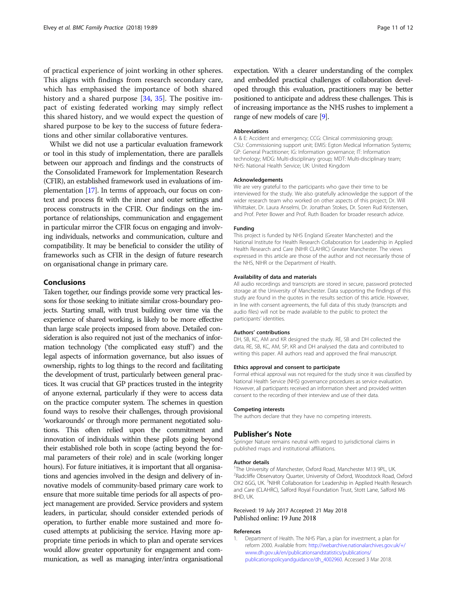<span id="page-11-0"></span>of practical experience of joint working in other spheres. This aligns with findings from research secondary care, which has emphasised the importance of both shared history and a shared purpose [34, 35]. The positive impact of existing federated working may simply reflect this shared history, and we would expect the question of shared purpose to be key to the success of future federations and other similar collaborative ventures.

Whilst we did not use a particular evaluation framework or tool in this study of implementation, there are parallels between our approach and findings and the constructs of the Consolidated Framework for Implementation Research (CFIR), an established framework used in evaluations of implementation [17]. In terms of approach, our focus on context and process fit with the inner and outer settings and process constructs in the CFIR. Our findings on the importance of relationships, communication and engagement in particular mirror the CFIR focus on engaging and involving individuals, networks and communication, culture and compatibility. It may be beneficial to consider the utility of frameworks such as CFIR in the design of future research on organisational change in primary care.

#### Conclusions

Taken together, our findings provide some very practical lessons for those seeking to initiate similar cross-boundary projects. Starting small, with trust building over time via the experience of shared working, is likely to be more effective than large scale projects imposed from above. Detailed consideration is also required not just of the mechanics of information technology ('the complicated easy stuff') and the legal aspects of information governance, but also issues of ownership, rights to log things to the record and facilitating the development of trust, particularly between general practices. It was crucial that GP practices trusted in the integrity of anyone external, particularly if they were to access data on the practice computer system. The schemes in question found ways to resolve their challenges, through provisional 'workarounds' or through more permanent negotiated solutions. This often relied upon the commitment and innovation of individuals within these pilots going beyond their established role both in scope (acting beyond the formal parameters of their role) and in scale (working longer hours). For future initiatives, it is important that all organisations and agencies involved in the design and delivery of innovative models of community-based primary care work to ensure that more suitable time periods for all aspects of project management are provided. Service providers and system leaders, in particular, should consider extended periods of operation, to further enable more sustained and more focused attempts at publicising the service. Having more appropriate time periods in which to plan and operate services would allow greater opportunity for engagement and communication, as well as managing inter/intra organisational

expectation. With a clearer understanding of the complex and embedded practical challenges of collaboration developed through this evaluation, practitioners may be better positioned to anticipate and address these challenges. This is of increasing importance as the NHS rushes to implement a range of new models of care [9].

#### Abbreviations

A & E: Accident and emergency; CCG: Clinical commissioning group; CSU: Commissioning support unit; EMIS: Egton Medical Information Systems; GP: General Practitioner; IG: Information governance; IT: Information technology; MDG: Multi-disciplinary group; MDT: Multi-disciplinary team; NHS: National Health Service; UK: United Kingdom

#### Acknowledgements

We are very grateful to the participants who gave their time to be interviewed for the study. We also gratefully acknowledge the support of the wider research team who worked on other aspects of this project; Dr. Will Whittaker, Dr. Laura Anselmi, Dr. Jonathan Stokes, Dr. Soren Rud Kristensen, and Prof. Peter Bower and Prof. Ruth Boaden for broader research advice.

#### Funding

This project is funded by NHS England (Greater Manchester) and the National Institute for Health Research Collaboration for Leadership in Applied Health Research and Care (NIHR CLAHRC) Greater Manchester. The views expressed in this article are those of the author and not necessarily those of the NHS, NIHR or the Department of Health.

#### Availability of data and materials

All audio recordings and transcripts are stored in secure, password protected storage at the University of Manchester. Data supporting the findings of this study are found in the quotes in the results section of this article. However, in line with consent agreements, the full data of this study (transcripts and audio files) will not be made available to the public to protect the participants' identities.

#### Authors' contributions

DH, SB, KC, AM and KR designed the study. RE, SB and DH collected the data, RE, SB, KC, AM, SP, KR and DH analysed the data and contributed to writing this paper. All authors read and approved the final manuscript.

#### Ethics approval and consent to participate

Formal ethical approval was not required for the study since it was classified by National Health Service (NHS) governance procedures as service evaluation. However, all participants received an information sheet and provided written consent to the recording of their interview and use of their data.

#### Competing interests

The authors declare that they have no competing interests.

#### Publisher's Note

Springer Nature remains neutral with regard to jurisdictional claims in published maps and institutional affiliations.

#### Author details

<sup>1</sup>The University of Manchester, Oxford Road, Manchester M13 9PL, UK. <sup>2</sup>Radcliffe Observatory Quarter, University of Oxford, Woodstock Road, Oxford OX2 6GG, UK.<sup>3</sup>NIHR Collaboration for Leadership in Applied Health Research and Care (CLAHRC), Salford Royal Foundation Trust, Stott Lane, Salford M6 8HD, UK.

#### Received: 19 July 2017 Accepted: 21 May 2018 Published online: 19 June 2018

#### References

1. Department of Health. The NHS Plan, a plan for investment, a plan for reform 2000. Available from: [http://webarchive.nationalarchives.gov.uk/+/](http://webarchive.nationalarchives.gov.uk/+/www.dh.gov.uk/en/publicationsandstatistics/publications/publicationspolicyandguidance/dh_4002960) [www.dh.gov.uk/en/publicationsandstatistics/publications/](http://webarchive.nationalarchives.gov.uk/+/www.dh.gov.uk/en/publicationsandstatistics/publications/publicationspolicyandguidance/dh_4002960) [publicationspolicyandguidance/dh\\_4002960.](http://webarchive.nationalarchives.gov.uk/+/www.dh.gov.uk/en/publicationsandstatistics/publications/publicationspolicyandguidance/dh_4002960) Accessed 3 Mar 2018.